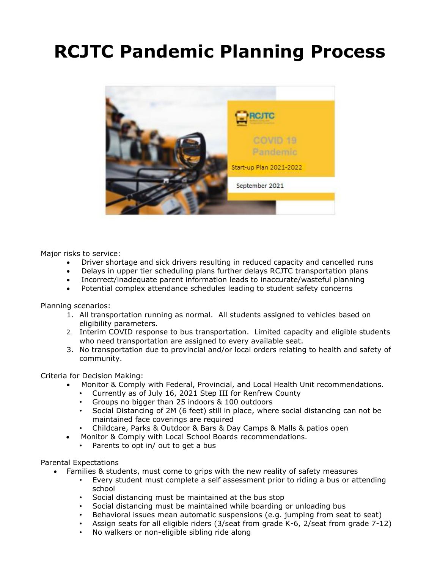# **RCJTC Pandemic Planning Process**



Major risks to service:

- Driver shortage and sick drivers resulting in reduced capacity and cancelled runs
- Delays in upper tier scheduling plans further delays RCJTC transportation plans
- Incorrect/inadequate parent information leads to inaccurate/wasteful planning
- Potential complex attendance schedules leading to student safety concerns

Planning scenarios:

- 1. All transportation running as normal. All students assigned to vehicles based on eligibility parameters.
- 2. Interim COVID response to bus transportation. Limited capacity and eligible students who need transportation are assigned to every available seat.
- 3. No transportation due to provincial and/or local orders relating to health and safety of community.

Criteria for Decision Making:

- Monitor & Comply with Federal, Provincial, and Local Health Unit recommendations.
	- Currently as of July 16, 2021 Step III for Renfrew County
	- Groups no bigger than 25 indoors & 100 outdoors
	- Social Distancing of 2M (6 feet) still in place, where social distancing can not be maintained face coverings are required
	- Childcare, Parks & Outdoor & Bars & Day Camps & Malls & patios open
- Monitor & Comply with Local School Boards recommendations.
	- Parents to opt in/ out to get a bus

#### Parental Expectations

- Families & students, must come to grips with the new reality of safety measures
	- Every student must complete a self assessment prior to riding a bus or attending school
	- Social distancing must be maintained at the bus stop
	- Social distancing must be maintained while boarding or unloading bus
	- Behavioral issues mean automatic suspensions (e.g. jumping from seat to seat)
	- Assign seats for all eligible riders (3/seat from grade K-6, 2/seat from grade 7-12)
	- No walkers or non-eligible sibling ride along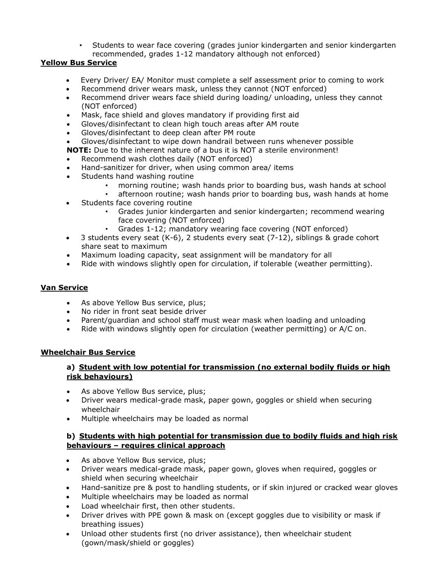• Students to wear face covering (grades junior kindergarten and senior kindergarten recommended, grades 1-12 mandatory although not enforced)

# **Yellow Bus Service**

- Every Driver/ EA/ Monitor must complete a self assessment prior to coming to work
- Recommend driver wears mask, unless they cannot (NOT enforced)
- Recommend driver wears face shield during loading/ unloading, unless they cannot (NOT enforced)
- Mask, face shield and gloves mandatory if providing first aid
- Gloves/disinfectant to clean high touch areas after AM route
- Gloves/disinfectant to deep clean after PM route
- Gloves/disinfectant to wipe down handrail between runs whenever possible
- **NOTE:** Due to the inherent nature of a bus it is NOT a sterile environment!
- Recommend wash clothes daily (NOT enforced)
- Hand-sanitizer for driver, when using common area/ items
- Students hand washing routine
	- morning routine; wash hands prior to boarding bus, wash hands at school
	- afternoon routine; wash hands prior to boarding bus, wash hands at home
- Students face covering routine
	- Grades junior kindergarten and senior kindergarten; recommend wearing face covering (NOT enforced)
	- Grades 1-12; mandatory wearing face covering (NOT enforced)
- 3 students every seat (K-6), 2 students every seat (7-12), siblings & grade cohort share seat to maximum
- Maximum loading capacity, seat assignment will be mandatory for all
- Ride with windows slightly open for circulation, if tolerable (weather permitting).

#### **Van Service**

- As above Yellow Bus service, plus;
- No rider in front seat beside driver
- Parent/guardian and school staff must wear mask when loading and unloading
- Ride with windows slightly open for circulation (weather permitting) or A/C on.

#### **Wheelchair Bus Service**

## **a) Student with low potential for transmission (no external bodily fluids or high risk behaviours)**

- As above Yellow Bus service, plus;
- Driver wears medical-grade mask, paper gown, goggles or shield when securing wheelchair
- Multiple wheelchairs may be loaded as normal

## **b) Students with high potential for transmission due to bodily fluids and high risk behaviours – requires clinical approach**

- As above Yellow Bus service, plus;
- Driver wears medical-grade mask, paper gown, gloves when required, goggles or shield when securing wheelchair
- Hand-sanitize pre & post to handling students, or if skin injured or cracked wear gloves
- Multiple wheelchairs may be loaded as normal
- Load wheelchair first, then other students.
- Driver drives with PPE gown & mask on (except goggles due to visibility or mask if breathing issues)
- Unload other students first (no driver assistance), then wheelchair student (gown/mask/shield or goggles)